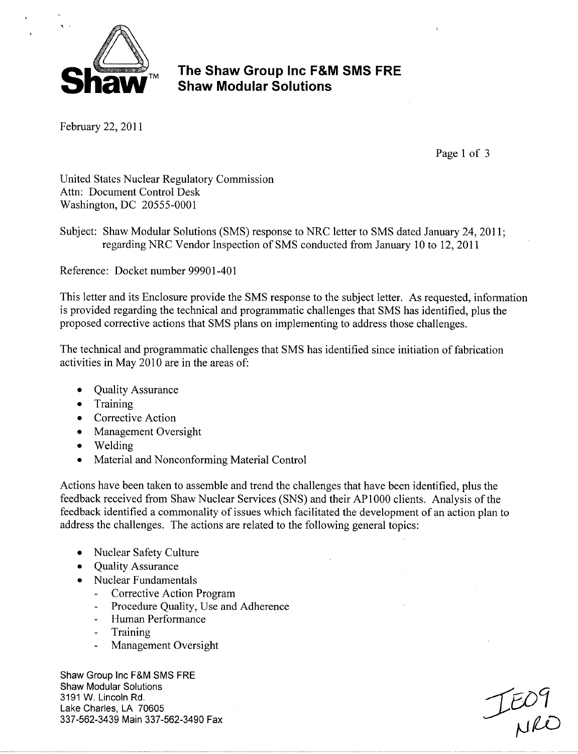

February 22, 2011

Page 1 of 3

United States Nuclear Regulatory Commission Attn: Document Control Desk Washington, DC 20555-0001

Subject: Shaw Modular Solutions (SMS) response to NRC letter to SMS dated January 24, 2011; regarding NRC Vendor Inspection of SMS conducted from January 10 to 12, 2011

Reference: Docket number 99901-401

This letter and its Enclosure provide the SMS response to the subject letter. As requested, information is provided regarding the technical and programmatic challenges that SMS has identified, plus the proposed corrective actions that SMS plans on implementing to address those challenges.

The technical and programmatic challenges that SMS has identified since initiation of fabrication activities in May 2010 are in the areas of:

- Quality Assurance
- Training
- Corrective Action
- Management Oversight
- Welding
- Material and Nonconforming Material Control

Actions have been taken to assemble and trend the challenges that have been identified, plus the feedback received from Shaw Nuclear Services (SNS) and their AP 1000 clients. Analysis of the feedback identified a commonality of issues which facilitated the development of an action plan to address the challenges. The actions are related to the following general topics:

- Nuclear Safety Culture
- **"** Quality Assurance
- **"** Nuclear Fundamentals
	- Corrective Action Program
	- Procedure Quality, Use and Adherence
	- Human Performance
	- **Training**
	- Management Oversight

Shaw Group Inc F&M SMS FRE Shaw Modular Solutions 3191 W. Lincoln Rd.<br>
Lake Charles, LA 70605<br>
337-562-3439 Main 337-562-3490 Fax 337-562-3439 Main 337-562-3490 Fax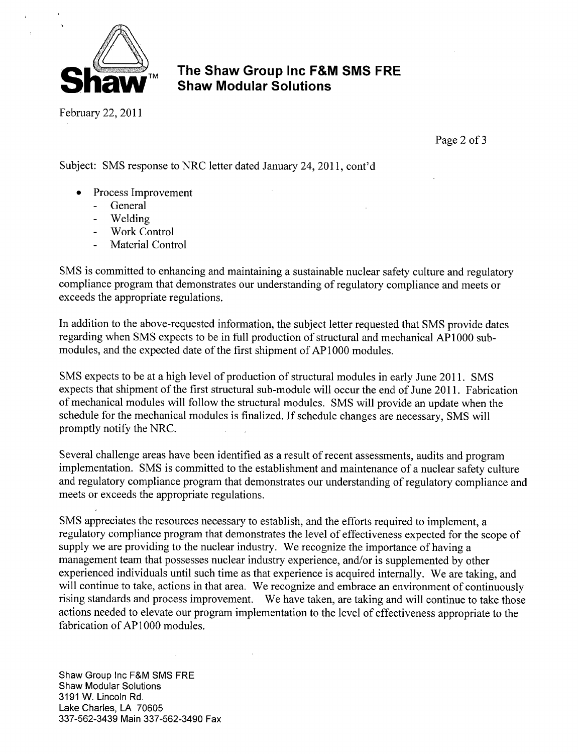

February 22, 2011

Page 2 of 3

Subject: SMS response to NRC letter dated January 24, 2011, cont'd

- Process Improvement
	- **-** General
	- **-** Welding
	- **-** Work Control
	- **-** Material Control

SMS is committed to enhancing and maintaining a sustainable nuclear safety culture and regulatory compliance program that demonstrates our understanding of regulatory compliance and meets or exceeds the appropriate regulations.

In addition to the above-requested information, the subject letter requested that SMS provide dates regarding when SMS expects to be in full production of structural and mechanical AP 1000 submodules, and the expected date of the first shipment of AP 1000 modules.

SMS expects to be at a high level of production of structural modules in early June 2011. SMS expects that shipment of the first structural sub-module will occur the end of June 2011. Fabrication of mechanical modules will follow the structural modules. SMS will provide an update when the schedule for the mechanical modules is finalized. If schedule changes are necessary, SMS will promptly notify the NRC.

Several challenge areas have been identified as a result of recent assessments, audits and program implementation. SMS is committed to the establishment and maintenance of a nuclear safety culture and regulatory compliance program that demonstrates our understanding of regulatory compliance and meets or exceeds the appropriate regulations.

SMS appreciates the resources necessary to establish, and the efforts required to implement, a regulatory compliance program that demonstrates the level of effectiveness expected for the scope of supply we are providing to the nuclear industry. We recognize the importance of having a management team that possesses nuclear industry experience, and/or is supplemented by other experienced individuals until such time as that experience is acquired internally. We are taking, and will continue to take, actions in that area. We recognize and embrace an environment of continuously rising standards and process improvement. We have taken, are taking and will continue to take those actions needed to elevate our program implementation to the level of effectiveness appropriate to the fabrication of AP1000 modules.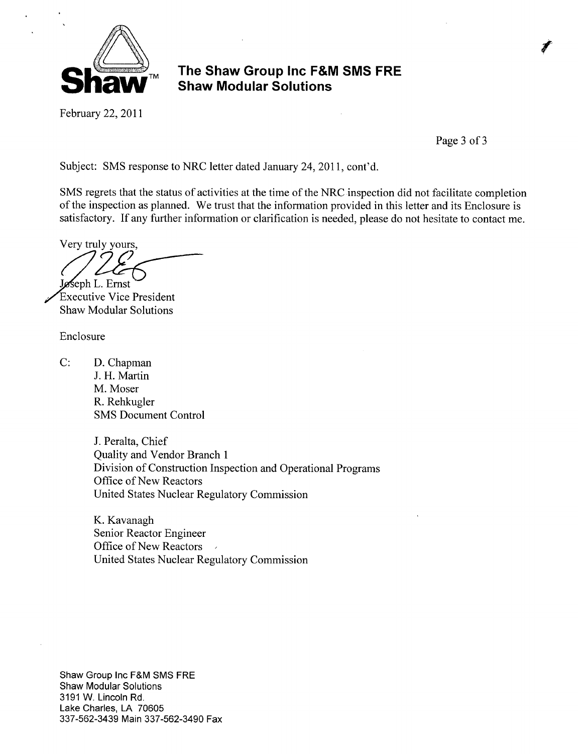

February 22, 2011

Page 3 of 3

Subject: SMS response to NRC letter dated January 24, 2011, cont'd.

SMS regrets that the status of activities at the time of the NRC inspection did not facilitate completion of the inspection as planned. We trust that the information provided in this letter and its Enclosure is satisfactory. If any further information or clarification is needed, please do not hesitate to contact me.

Very truly yours, **Jøseph L. Ernst** 

'Executive Vice President Shaw Modular Solutions

Enclosure

C: D. Chapman J. H. Martin M. Moser R. Rehkugler SMS Document Control

> J. Peralta, Chief Quality and Vendor Branch 1 Division of Construction Inspection and Operational Programs Office of New Reactors United States Nuclear Regulatory Commission

K. Kavanagh Senior Reactor Engineer Office of New Reactors United States Nuclear Regulatory Commission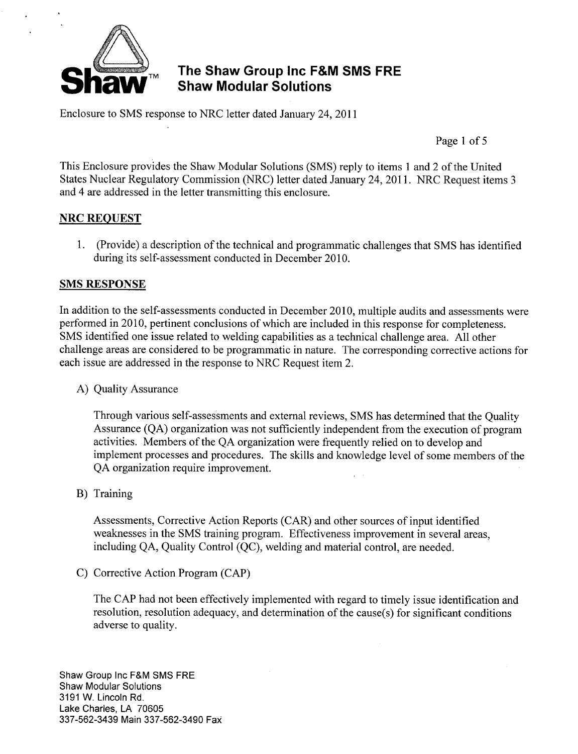

Enclosure to SMS response to NRC letter dated January 24, 2011

Page 1 of 5

This Enclosure provides the Shaw Modular Solutions (SMS) reply to items 1 and 2 of the United States Nuclear Regulatory Commission (NRC) letter dated January 24, 2011. NRC Request items 3 and 4 are addressed in the letter transmitting this enclosure.

#### NRC **REQUEST**

1. (Provide) a description of the technical and programmatic challenges that SMS has identified during its self-assessment conducted in December 2010.

#### **SMS RESPONSE**

In addition to the self-assessments conducted in December 2010, multiple audits and assessments were performed in 2010, pertinent conclusions of which are included in this response for completeness. SMS identified one issue related to welding capabilities as a technical challenge area. All other challenge areas are considered to be programmatic in nature. The corresponding corrective actions for each issue are addressed in the response to NRC Request item 2.

A) Quality Assurance

Through various self-assessments and external reviews, SMS has determined that the Quality Assurance (QA) organization was not sufficiently independent from the execution of program activities. Members of the QA organization were frequently relied on to develop and implement processes and procedures. The skills and knowledge level of some members of the QA organization require improvement.

B) Training

Assessments, Corrective Action Reports (CAR) and other sources of input identified weaknesses in the SMS training program. Effectiveness improvement in several areas, including QA, Quality Control (QC), welding and material control, are needed.

C) Corrective Action Program (CAP)

The CAP had not been effectively implemented with regard to timely issue identification and resolution, resolution adequacy, and determination of the cause(s) for significant conditions adverse to quality.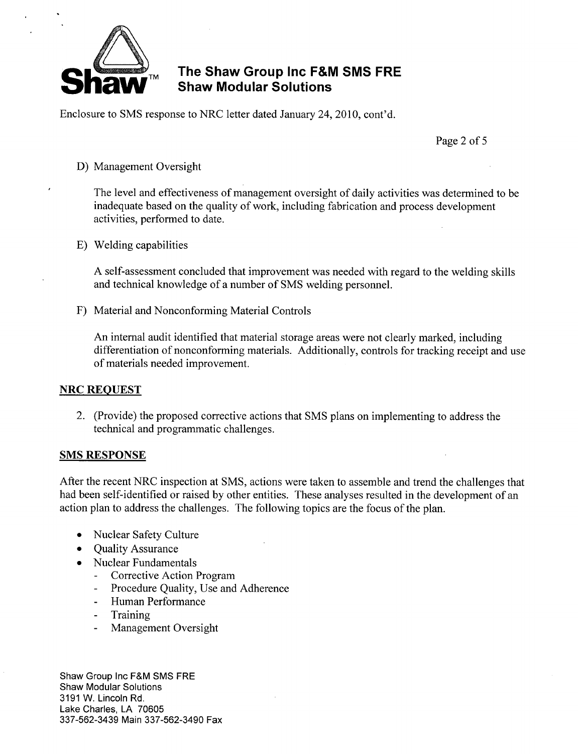

Enclosure to SMS response to NRC letter dated January 24, 2010, cont'd.

Page 2 of 5

#### D) Management Oversight

The level and effectiveness of management oversight of daily activities was determined to be inadequate based on the quality of work, including fabrication and process development activities, performed to date.

**E)** Welding capabilities

A self-assessment concluded that improvement was needed with regard to the welding skills and technical knowledge of a number of SMS welding personnel.

F) Material and Nonconforming Material Controls

An internal audit identified that material storage areas were not clearly marked, including differentiation of nonconforming materials. Additionally, controls for tracking receipt and use of materials needed improvement.

#### NRC **REQUEST**

2. (Provide) the proposed corrective actions that SMS plans on implementing to address the technical and programmatic challenges.

#### **SMS RESPONSE**

After the recent NRC inspection at SMS, actions were taken to assemble and trend the challenges that had been self-identified or raised by other entities. These analyses resulted in the development of an action plan to address the challenges. The following topics are the focus of the plan.

- Nuclear Safety Culture
- **"** Quality Assurance
- \* Nuclear Fundamentals
	- **-** Corrective Action Program
	- **-** Procedure Quality, Use and Adherence
	- **-** Human Performance
	- **-** Training
	- **-** Management Oversight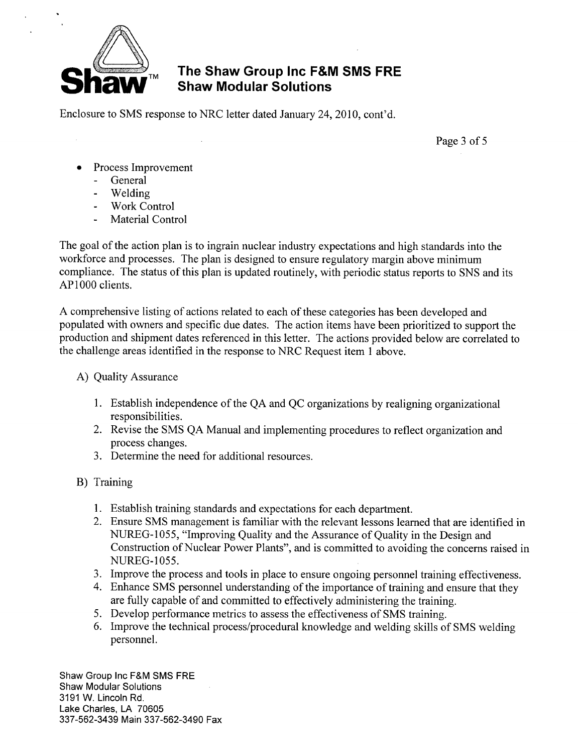

# **A FIRM SHAW GROUP INC F&M SMS FRE**

Enclosure to SMS response to NRC letter dated January 24, 2010, cont'd.

Page 3 of 5

- Process Improvement
	- **-** General
	- **-** Welding
	- **-** Work Control
	- **-** Material Control

The goal of the action plan is to ingrain nuclear industry expectations and high standards into the workforce and processes. The plan is designed to ensure regulatory margin above minimum compliance. The status of this plan is updated routinely, with periodic status reports to SNS and its AP1000 clients.

A comprehensive listing of actions related to each of these categories has been developed and populated with owners and specific due dates. The action items have been prioritized to support the production and shipment dates referenced in this letter. The actions provided below are correlated to the challenge areas identified in the response to NRC Request item 1 above.

#### A) Quality Assurance

- 1. Establish independence of the QA and QC organizations by realigning organizational responsibilities.
- 2. Revise the SMS QA Manual and implementing procedures to reflect organization and process changes.
- 3. Determine the need for additional resources.
- B) Training
	- 1. Establish training standards and expectations for each department.
	- 2. Ensure SMS management is familiar with the relevant lessons learned that are identified in NUREG-1055, "Improving Quality and the Assurance of Quality in the Design and Construction of Nuclear Power Plants", and is committed to avoiding the concerns raised in **NUREG-1055.**
	- 3. Improve the process and tools in place to ensure ongoing personnel training effectiveness.
	- 4. Enhance SMS personnel understanding of the importance of training and ensure that they are fully capable of and committed to effectively administering the training.
	- *5.* Develop performance metrics to assess the effectiveness of SMS training.
	- 6. Improve the technical process/procedural knowledge and welding skills of SMS welding personnel.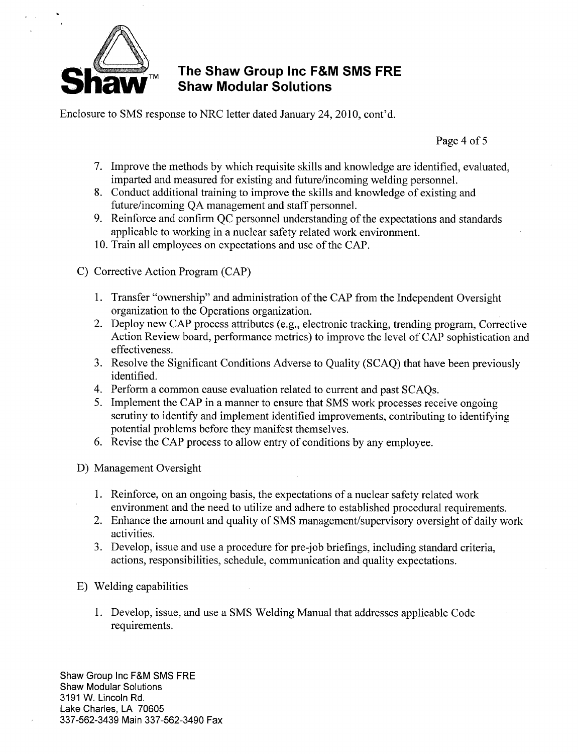

Enclosure to SMS response to NRC letter dated January 24, 2010, cont'd.

Page 4 of 5

- 7. Improve the methods by which requisite skills and knowledge are identified, evaluated, imparted and measured for existing and future/incoming welding personnel.
- 8. Conduct additional training to improve the skills and knowledge of existing and future/incoming QA management and staff personnel.
- 9. Reinforce and confirm QC personnel understanding of the expectations and standards applicable to working in a nuclear safety related work environment.
- 10. Train all employees on expectations and use of the CAP.
- C) Corrective Action Program (CAP)
	- 1. Transfer "ownership" and administration of the CAP from the Independent Oversight organization to the Operations organization.
	- 2. Deploy new CAP process attributes (e.g., electronic tracking, trending program, Corrective Action Review board, performance metrics) to improve the level of CAP sophistication and effectiveness.
	- 3. Resolve the Significant Conditions Adverse to Quality (SCAQ) that have been previously identified.
	- 4. Perform a common cause evaluation related to current and past SCAQs.
	- 5. Implement the CAP in a manner to ensure that SMS work processes receive ongoing scrutiny to identify and implement identified improvements, contributing to identifying potential problems before they manifest themselves.
	- 6. Revise the CAP process to allow entry of conditions by any employee.
- D) Management Oversight
	- 1. Reinforce, on an ongoing basis, the expectations of a nuclear safety related work environment and the need to utilize and adhere to established procedural requirements.
	- 2. Enhance the amount and quality of SMS management/supervisory oversight of daily work activities.
	- 3. Develop, issue and use a procedure for pre-job briefings, including standard criteria, actions, responsibilities, schedule, communication and quality expectations.
- **E)** Welding capabilities
	- 1. Develop, issue, and use a SMS Welding Manual that addresses applicable Code requirements.